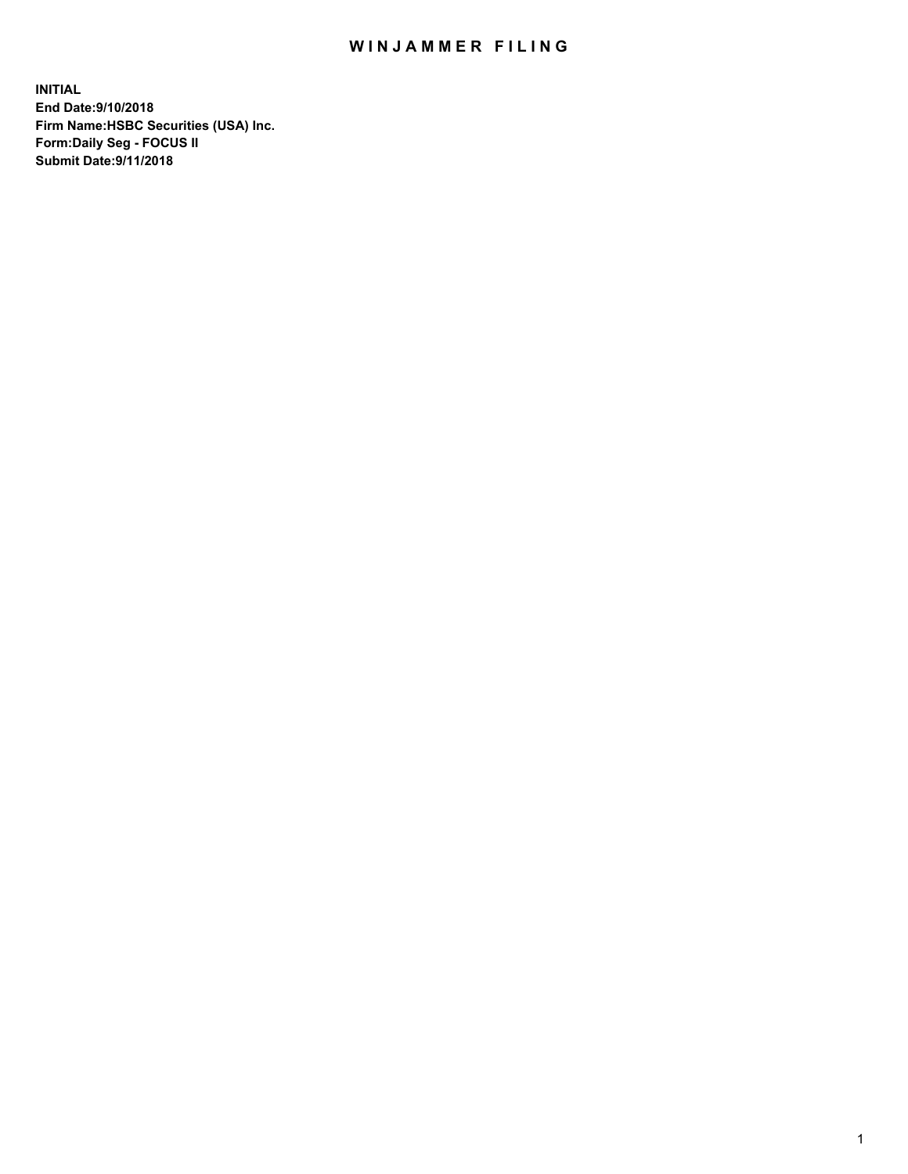## WIN JAMMER FILING

**INITIAL End Date:9/10/2018 Firm Name:HSBC Securities (USA) Inc. Form:Daily Seg - FOCUS II Submit Date:9/11/2018**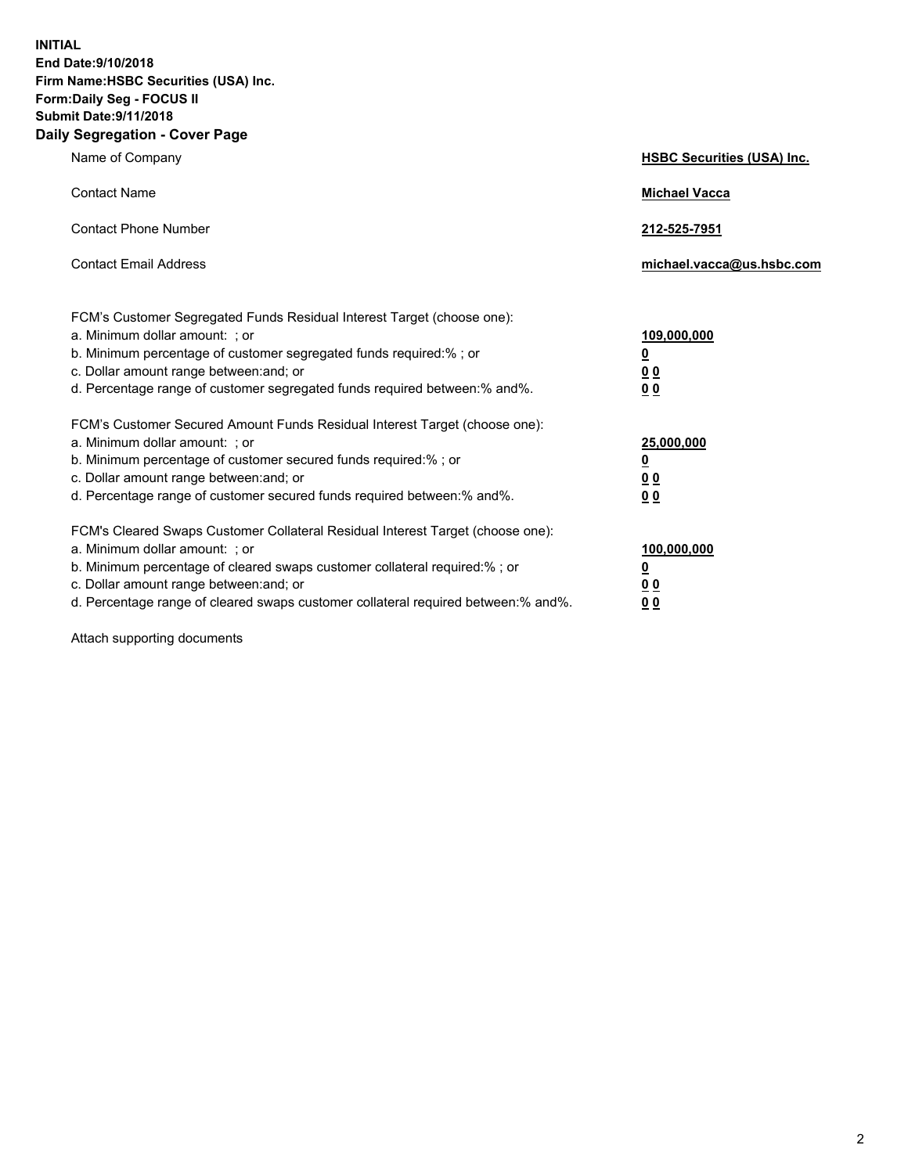**INITIAL End Date:9/10/2018 Firm Name:HSBC Securities (USA) Inc. Form:Daily Seg - FOCUS II Submit Date:9/11/2018 Daily Segregation - Cover Page**

| Name of Company                                                                                                                                                                                                                                                                                                                | <b>HSBC Securities (USA) Inc.</b>                                          |
|--------------------------------------------------------------------------------------------------------------------------------------------------------------------------------------------------------------------------------------------------------------------------------------------------------------------------------|----------------------------------------------------------------------------|
| <b>Contact Name</b>                                                                                                                                                                                                                                                                                                            | <b>Michael Vacca</b>                                                       |
| <b>Contact Phone Number</b>                                                                                                                                                                                                                                                                                                    | 212-525-7951                                                               |
| <b>Contact Email Address</b>                                                                                                                                                                                                                                                                                                   | michael.vacca@us.hsbc.com                                                  |
| FCM's Customer Segregated Funds Residual Interest Target (choose one):<br>a. Minimum dollar amount: ; or<br>b. Minimum percentage of customer segregated funds required:% ; or<br>c. Dollar amount range between: and; or<br>d. Percentage range of customer segregated funds required between:% and%.                         | 109,000,000<br>$\overline{\mathbf{0}}$<br>0 <sub>0</sub><br>0 <sub>0</sub> |
| FCM's Customer Secured Amount Funds Residual Interest Target (choose one):<br>a. Minimum dollar amount: ; or<br>b. Minimum percentage of customer secured funds required:% ; or<br>c. Dollar amount range between: and; or<br>d. Percentage range of customer secured funds required between: % and %.                         | 25,000,000<br>$\overline{\mathbf{0}}$<br>0 <sub>0</sub><br>0 <sub>0</sub>  |
| FCM's Cleared Swaps Customer Collateral Residual Interest Target (choose one):<br>a. Minimum dollar amount: ; or<br>b. Minimum percentage of cleared swaps customer collateral required:% ; or<br>c. Dollar amount range between: and; or<br>d. Percentage range of cleared swaps customer collateral required between:% and%. | 100,000,000<br>$\overline{\mathbf{0}}$<br>0 <sub>0</sub><br>00             |

Attach supporting documents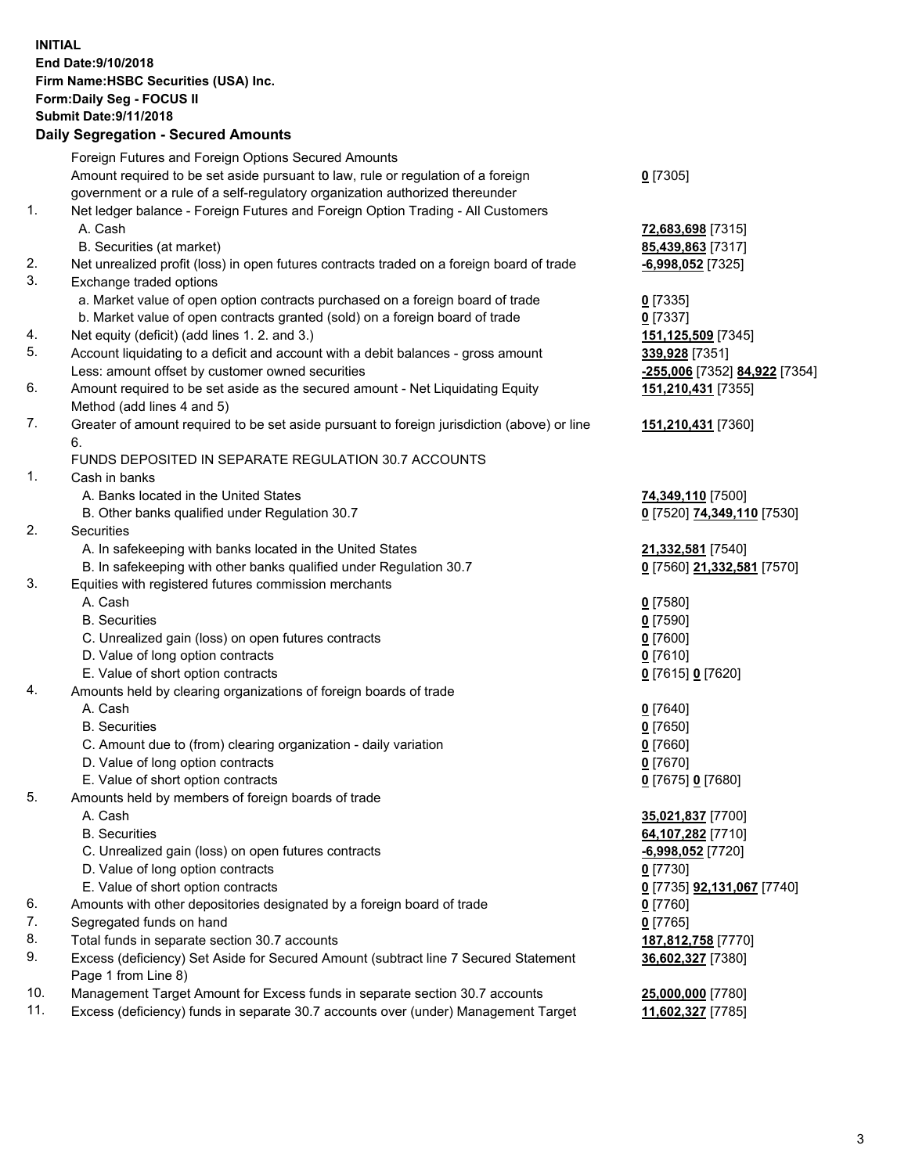**INITIAL End Date:9/10/2018 Firm Name:HSBC Securities (USA) Inc. Form:Daily Seg - FOCUS II Submit Date:9/11/2018 Daily Segregation - Secured Amounts** Foreign Futures and Foreign Options Secured Amounts Amount required to be set aside pursuant to law, rule or regulation of a foreign government or a rule of a self-regulatory organization authorized thereunder **0** [7305] 1. Net ledger balance - Foreign Futures and Foreign Option Trading - All Customers A. Cash **72,683,698** [7315] B. Securities (at market) **85,439,863** [7317] 2. Net unrealized profit (loss) in open futures contracts traded on a foreign board of trade **-6,998,052** [7325] 3. Exchange traded options a. Market value of open option contracts purchased on a foreign board of trade **0** [7335] b. Market value of open contracts granted (sold) on a foreign board of trade **0** [7337] 4. Net equity (deficit) (add lines 1. 2. and 3.) **151,125,509** [7345] 5. Account liquidating to a deficit and account with a debit balances - gross amount **339,928** [7351] Less: amount offset by customer owned securities **-255,006** [7352] **84,922** [7354] 6. Amount required to be set aside as the secured amount - Net Liquidating Equity Method (add lines 4 and 5) **151,210,431** [7355] 7. Greater of amount required to be set aside pursuant to foreign jurisdiction (above) or line 6. **151,210,431** [7360] FUNDS DEPOSITED IN SEPARATE REGULATION 30.7 ACCOUNTS 1. Cash in banks A. Banks located in the United States **74,349,110** [7500] B. Other banks qualified under Regulation 30.7 **0** [7520] **74,349,110** [7530] 2. Securities A. In safekeeping with banks located in the United States **21,332,581** [7540] B. In safekeeping with other banks qualified under Regulation 30.7 **0** [7560] **21,332,581** [7570] 3. Equities with registered futures commission merchants A. Cash **0** [7580] B. Securities **0** [7590] C. Unrealized gain (loss) on open futures contracts **0** [7600] D. Value of long option contracts **0** [7610] E. Value of short option contracts **0** [7615] **0** [7620] 4. Amounts held by clearing organizations of foreign boards of trade A. Cash **0** [7640] B. Securities **0** [7650] C. Amount due to (from) clearing organization - daily variation **0** [7660] D. Value of long option contracts **0** [7670] E. Value of short option contracts **0** [7675] **0** [7680] 5. Amounts held by members of foreign boards of trade A. Cash **35,021,837** [7700] B. Securities **64,107,282** [7710] C. Unrealized gain (loss) on open futures contracts **-6,998,052** [7720] D. Value of long option contracts **0** [7730] E. Value of short option contracts **0** [7735] **92,131,067** [7740] 6. Amounts with other depositories designated by a foreign board of trade **0** [7760] 7. Segregated funds on hand **0** [7765] 8. Total funds in separate section 30.7 accounts **187,812,758** [7770] 9. Excess (deficiency) Set Aside for Secured Amount (subtract line 7 Secured Statement Page 1 from Line 8) **36,602,327** [7380] 10. Management Target Amount for Excess funds in separate section 30.7 accounts **25,000,000** [7780]

11. Excess (deficiency) funds in separate 30.7 accounts over (under) Management Target **11,602,327** [7785]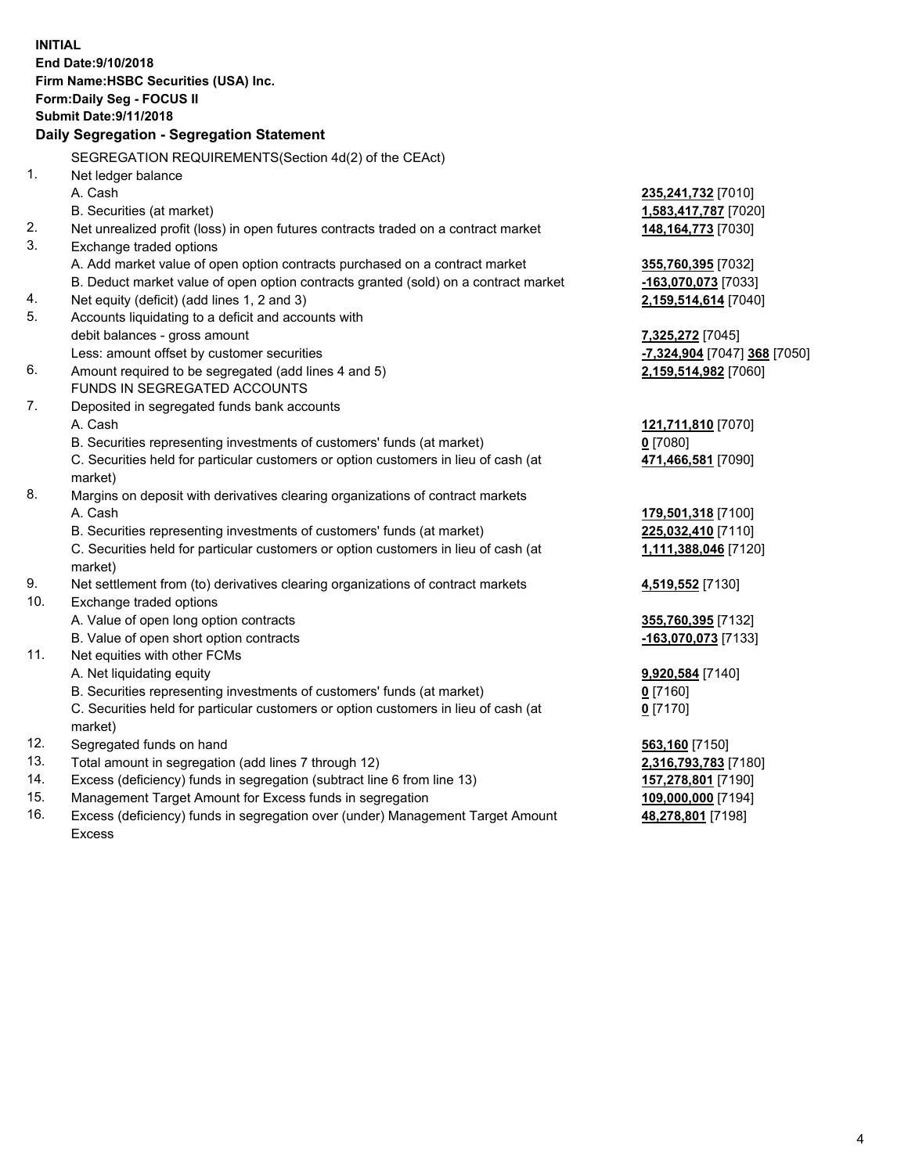**INITIAL End Date:9/10/2018 Firm Name:HSBC Securities (USA) Inc. Form:Daily Seg - FOCUS II Submit Date:9/11/2018 Daily Segregation - Segregation Statement** SEGREGATION REQUIREMENTS(Section 4d(2) of the CEAct) 1. Net ledger balance A. Cash **235,241,732** [7010] B. Securities (at market) **1,583,417,787** [7020] 2. Net unrealized profit (loss) in open futures contracts traded on a contract market **148,164,773** [7030] 3. Exchange traded options A. Add market value of open option contracts purchased on a contract market **355,760,395** [7032] B. Deduct market value of open option contracts granted (sold) on a contract market **-163,070,073** [7033] 4. Net equity (deficit) (add lines 1, 2 and 3) **2,159,514,614** [7040] 5. Accounts liquidating to a deficit and accounts with debit balances - gross amount **7,325,272** [7045] Less: amount offset by customer securities **-7,324,904** [7047] **368** [7050] 6. Amount required to be segregated (add lines 4 and 5) **2,159,514,982** [7060] FUNDS IN SEGREGATED ACCOUNTS 7. Deposited in segregated funds bank accounts A. Cash **121,711,810** [7070] B. Securities representing investments of customers' funds (at market) **0** [7080] C. Securities held for particular customers or option customers in lieu of cash (at market) **471,466,581** [7090] 8. Margins on deposit with derivatives clearing organizations of contract markets A. Cash **179,501,318** [7100] B. Securities representing investments of customers' funds (at market) **225,032,410** [7110] C. Securities held for particular customers or option customers in lieu of cash (at market) **1,111,388,046** [7120] 9. Net settlement from (to) derivatives clearing organizations of contract markets **4,519,552** [7130] 10. Exchange traded options A. Value of open long option contracts **355,760,395** [7132] B. Value of open short option contracts **-163,070,073** [7133] 11. Net equities with other FCMs A. Net liquidating equity **9,920,584** [7140] B. Securities representing investments of customers' funds (at market) **0** [7160] C. Securities held for particular customers or option customers in lieu of cash (at market) **0** [7170] 12. Segregated funds on hand **563,160** [7150] 13. Total amount in segregation (add lines 7 through 12) **2,316,793,783** [7180] 14. Excess (deficiency) funds in segregation (subtract line 6 from line 13) **157,278,801** [7190] 15. Management Target Amount for Excess funds in segregation **109,000,000** [7194]

16. Excess (deficiency) funds in segregation over (under) Management Target Amount Excess

**48,278,801** [7198]